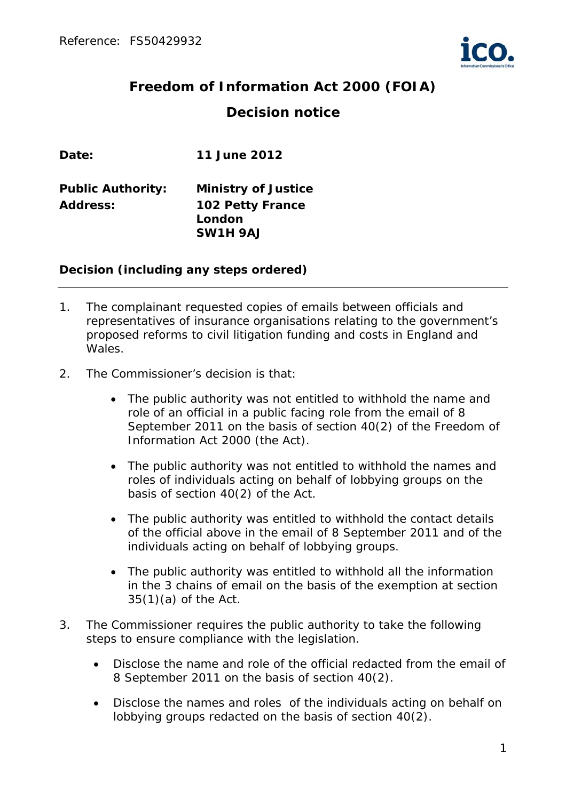

# **Freedom of Information Act 2000 (FOIA) Decision notice**

| Date:                    | 11 June 2012               |
|--------------------------|----------------------------|
| <b>Public Authority:</b> | <b>Ministry of Justice</b> |
| <b>Address:</b>          | <b>102 Petty France</b>    |
|                          | London                     |
|                          | SW1H 9AJ                   |

## **Decision (including any steps ordered)**

- 1. The complainant requested copies of emails between officials and representatives of insurance organisations relating to the government's proposed reforms to civil litigation funding and costs in England and Wales.
- 2. The Commissioner's decision is that:
	- The public authority was not entitled to withhold the name and role of an official in a public facing role from the email of 8 September 2011 on the basis of section 40(2) of the Freedom of Information Act 2000 (the Act).
	- The public authority was not entitled to withhold the names and roles of individuals acting on behalf of lobbying groups on the basis of section 40(2) of the Act.
	- The public authority was entitled to withhold the contact details of the official above in the email of 8 September 2011 and of the individuals acting on behalf of lobbying groups.
	- The public authority was entitled to withhold all the information in the 3 chains of email on the basis of the exemption at section 35(1)(a) of the Act.
- 3. The Commissioner requires the public authority to take the following steps to ensure compliance with the legislation.
	- Disclose the name and role of the official redacted from the email of 8 September 2011 on the basis of section 40(2).
	- Disclose the names and roles of the individuals acting on behalf on lobbying groups redacted on the basis of section 40(2).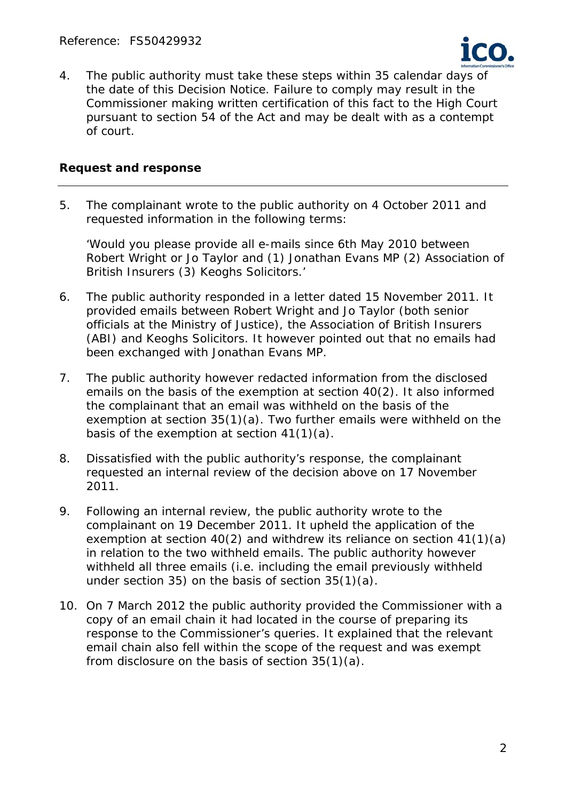

4. The public authority must take these steps within 35 calendar days of the date of this Decision Notice. Failure to comply may result in the Commissioner making written certification of this fact to the High Court pursuant to section 54 of the Act and may be dealt with as a contempt of court.

#### **Request and response**

5. The complainant wrote to the public authority on 4 October 2011 and requested information in the following terms:

'*Would you please provide all e-mails since 6th May 2010 between Robert Wright or Jo Taylor and (1) Jonathan Evans MP (2) Association of British Insurers (3) Keoghs Solicitors.*'

- 6. The public authority responded in a letter dated 15 November 2011. It provided emails between Robert Wright and Jo Taylor (both senior officials at the Ministry of Justice), the Association of British Insurers (ABI) and Keoghs Solicitors. It however pointed out that no emails had been exchanged with Jonathan Evans MP.
- 7. The public authority however redacted information from the disclosed emails on the basis of the exemption at section 40(2). It also informed the complainant that an email was withheld on the basis of the exemption at section 35(1)(a). Two further emails were withheld on the basis of the exemption at section 41(1)(a).
- 8. Dissatisfied with the public authority's response, the complainant requested an internal review of the decision above on 17 November 2011.
- 9. Following an internal review, the public authority wrote to the complainant on 19 December 2011. It upheld the application of the exemption at section 40(2) and withdrew its reliance on section 41(1)(a) in relation to the two withheld emails. The public authority however withheld all three emails (i.e. including the email previously withheld under section 35) on the basis of section 35(1)(a).
- 10. On 7 March 2012 the public authority provided the Commissioner with a copy of an email chain it had located in the course of preparing its response to the Commissioner's queries. It explained that the relevant email chain also fell within the scope of the request and was exempt from disclosure on the basis of section 35(1)(a).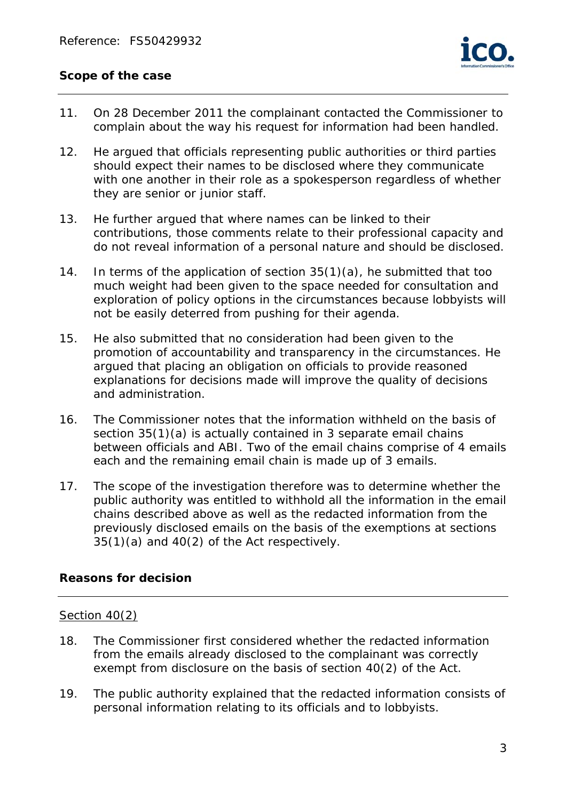## **Scope of the case**

- 11. On 28 December 2011 the complainant contacted the Commissioner to complain about the way his request for information had been handled.
- 12. He argued that officials representing public authorities or third parties should expect their names to be disclosed where they communicate with one another in their role as a spokesperson regardless of whether they are senior or junior staff.
- 13. He further argued that where names can be linked to their contributions, those comments relate to their professional capacity and do not reveal information of a personal nature and should be disclosed.
- 14. In terms of the application of section 35(1)(a), he submitted that too much weight had been given to the space needed for consultation and exploration of policy options in the circumstances because lobbyists will not be easily deterred from pushing for their agenda.
- 15. He also submitted that no consideration had been given to the promotion of accountability and transparency in the circumstances. He argued that placing an obligation on officials to provide reasoned explanations for decisions made will improve the quality of decisions and administration.
- 16. The Commissioner notes that the information withheld on the basis of section 35(1)(a) is actually contained in 3 separate email chains between officials and ABI. Two of the email chains comprise of 4 emails each and the remaining email chain is made up of 3 emails.
- 17. The scope of the investigation therefore was to determine whether the public authority was entitled to withhold all the information in the email chains described above as well as the redacted information from the previously disclosed emails on the basis of the exemptions at sections 35(1)(a) and 40(2) of the Act respectively.

## **Reasons for decision**

#### Section 40(2)

- 18. The Commissioner first considered whether the redacted information from the emails already disclosed to the complainant was correctly exempt from disclosure on the basis of section 40(2) of the Act.
- 19. The public authority explained that the redacted information consists of personal information relating to its officials and to lobbyists.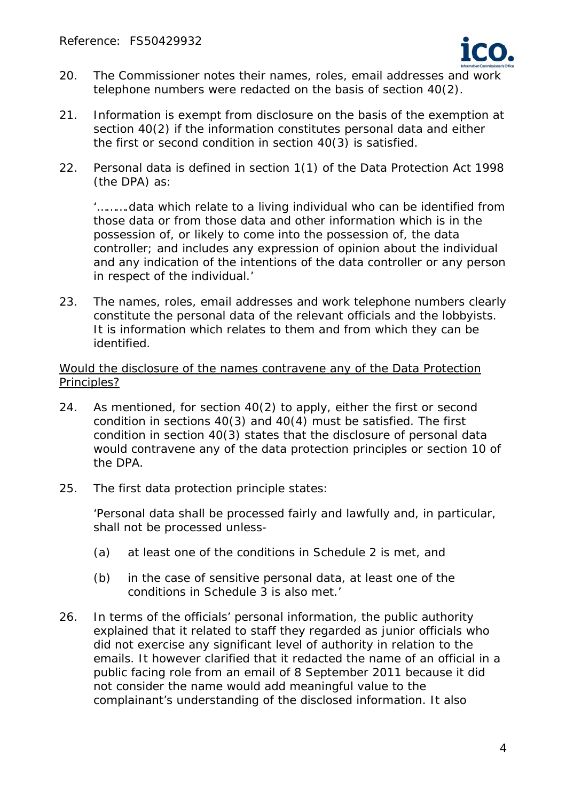

- 20. The Commissioner notes their names, roles, email addresses and work telephone numbers were redacted on the basis of section 40(2).
- 21. Information is exempt from disclosure on the basis of the exemption at section 40(2) if the information constitutes personal data and either the first or second condition in section 40(3) is satisfied.
- 22. Personal data is defined in section 1(1) of the Data Protection Act 1998 (the DPA) as:

'*……….data which relate to a living individual who can be identified from those data or from those data and other information which is in the possession of, or likely to come into the possession of, the data controller; and includes any expression of opinion about the individual and any indication of the intentions of the data controller or any person in respect of the individual.*'

23. The names, roles, email addresses and work telephone numbers clearly constitute the personal data of the relevant officials and the lobbyists. It is information which relates to them and from which they can be identified.

Would the disclosure of the names contravene any of the Data Protection Principles?

- 24. As mentioned, for section 40(2) to apply, either the first or second condition in sections 40(3) and 40(4) must be satisfied. The first condition in section 40(3) states that the disclosure of personal data would contravene any of the data protection principles or section 10 of the DPA.
- 25. The first data protection principle states:

'*Personal data shall be processed fairly and lawfully and, in particular, shall not be processed unless-* 

- *(a) at least one of the conditions in Schedule 2 is met, and*
- *(b) in the case of sensitive personal data, at least one of the conditions in Schedule 3 is also met.*'
- 26. In terms of the officials' personal information, the public authority explained that it related to staff they regarded as junior officials who did not exercise any significant level of authority in relation to the emails. It however clarified that it redacted the name of an official in a public facing role from an email of 8 September 2011 because it did not consider the name would add meaningful value to the complainant's understanding of the disclosed information. It also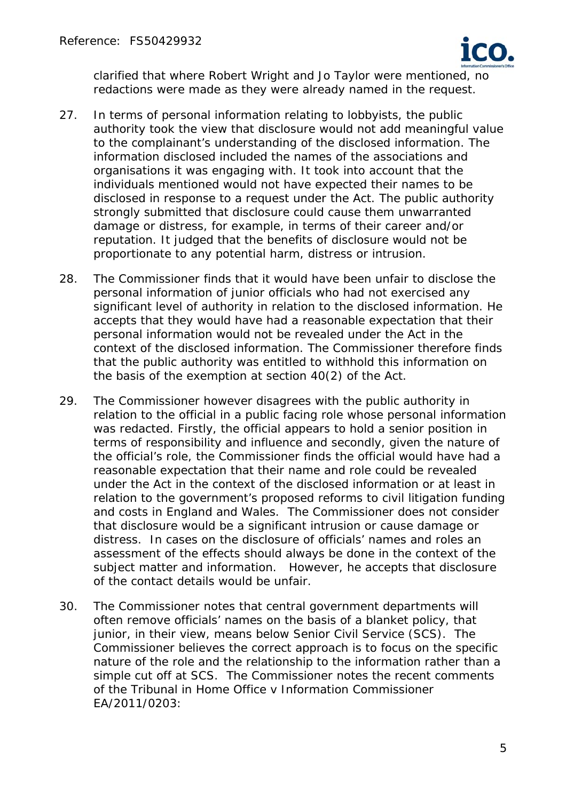

clarified that where Robert Wright and Jo Taylor were mentioned, no redactions were made as they were already named in the request.

- 27. In terms of personal information relating to lobbyists, the public authority took the view that disclosure would not add meaningful value to the complainant's understanding of the disclosed information. The information disclosed included the names of the associations and organisations it was engaging with. It took into account that the individuals mentioned would not have expected their names to be disclosed in response to a request under the Act. The public authority strongly submitted that disclosure could cause them unwarranted damage or distress, for example, in terms of their career and/or reputation. It judged that the benefits of disclosure would not be proportionate to any potential harm, distress or intrusion.
- 28. The Commissioner finds that it would have been unfair to disclose the personal information of junior officials who had not exercised any significant level of authority in relation to the disclosed information. He accepts that they would have had a reasonable expectation that their personal information would not be revealed under the Act in the context of the disclosed information. The Commissioner therefore finds that the public authority was entitled to withhold this information on the basis of the exemption at section 40(2) of the Act.
- 29. The Commissioner however disagrees with the public authority in relation to the official in a public facing role whose personal information was redacted. Firstly, the official appears to hold a senior position in terms of responsibility and influence and secondly, given the nature of the official's role, the Commissioner finds the official would have had a reasonable expectation that their name and role could be revealed under the Act in the context of the disclosed information or at least in relation to the government's proposed reforms to civil litigation funding and costs in England and Wales. The Commissioner does not consider that disclosure would be a significant intrusion or cause damage or distress. In cases on the disclosure of officials' names and roles an assessment of the effects should always be done in the context of the subject matter and information. However, he accepts that disclosure of the contact details would be unfair.
- 30. The Commissioner notes that central government departments will often remove officials' names on the basis of a blanket policy, that junior, in their view, means below Senior Civil Service (SCS). The Commissioner believes the correct approach is to focus on the specific nature of the role and the relationship to the information rather than a simple cut off at SCS. The Commissioner notes the recent comments of the Tribunal in *Home Office v Information Commissioner EA/2011/0203*: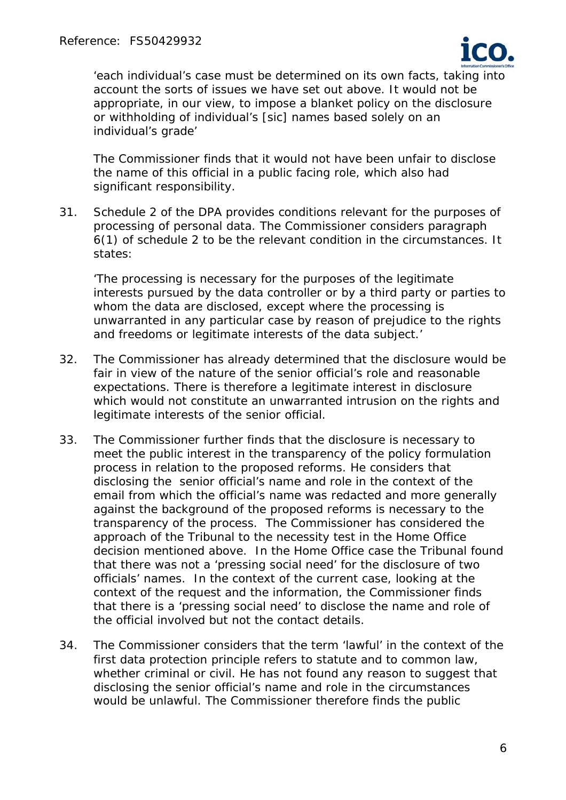

*'each individual's case must be determined on its own facts, taking into account the sorts of issues we have set out above. It would not be appropriate, in our view, to impose a blanket policy on the disclosure or withholding of individual's [sic] names based solely on an individual's grade'*

The Commissioner finds that it would not have been unfair to disclose the name of this official in a public facing role, which also had significant responsibility.

31. Schedule 2 of the DPA provides conditions relevant for the purposes of processing of personal data. The Commissioner considers paragraph 6(1) of schedule 2 to be the relevant condition in the circumstances. It states:

'*The processing is necessary for the purposes of the legitimate interests pursued by the data controller or by a third party or parties to whom the data are disclosed, except where the processing is unwarranted in any particular case by reason of prejudice to the rights and freedoms or legitimate interests of the data subject.*'

- 32. The Commissioner has already determined that the disclosure would be fair in view of the nature of the senior official's role and reasonable expectations. There is therefore a legitimate interest in disclosure which would not constitute an unwarranted intrusion on the rights and legitimate interests of the senior official.
- 33. The Commissioner further finds that the disclosure is necessary to meet the public interest in the transparency of the policy formulation process in relation to the proposed reforms. He considers that disclosing the senior official's name and role in the context of the email from which the official's name was redacted and more generally against the background of the proposed reforms is necessary to the transparency of the process. The Commissioner has considered the approach of the Tribunal to the necessity test in the Home Office decision mentioned above. In the Home Office case the Tribunal found that there was not a 'pressing social need' for the disclosure of two officials' names. In the context of the current case, looking at the context of the request and the information, the Commissioner finds that there is a 'pressing social need' to disclose the name and role of the official involved but not the contact details.
- 34. The Commissioner considers that the term 'lawful' in the context of the first data protection principle refers to statute and to common law, whether criminal or civil. He has not found any reason to suggest that disclosing the senior official's name and role in the circumstances would be unlawful. The Commissioner therefore finds the public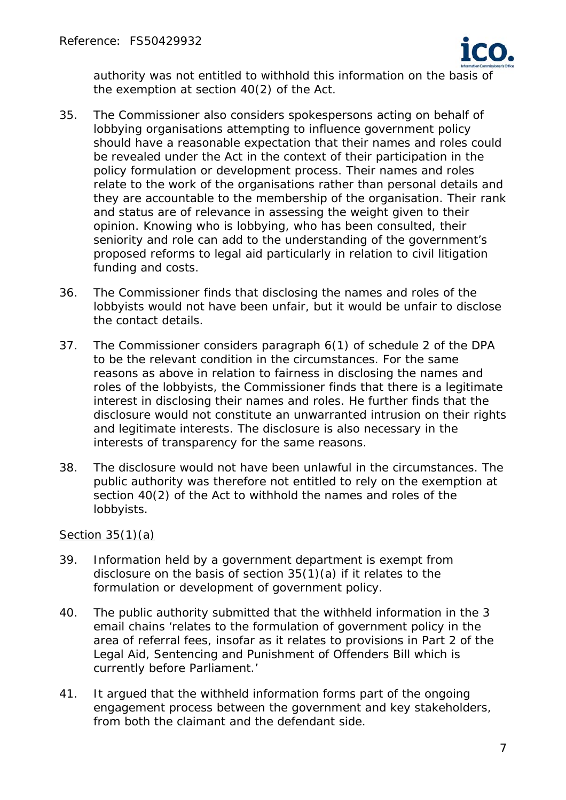

authority was not entitled to withhold this information on the basis of the exemption at section 40(2) of the Act.

- 35. The Commissioner also considers spokespersons acting on behalf of lobbying organisations attempting to influence government policy should have a reasonable expectation that their names and roles could be revealed under the Act in the context of their participation in the policy formulation or development process. Their names and roles relate to the work of the organisations rather than personal details and they are accountable to the membership of the organisation. Their rank and status are of relevance in assessing the weight given to their opinion. Knowing who is lobbying, who has been consulted, their seniority and role can add to the understanding of the government's proposed reforms to legal aid particularly in relation to civil litigation funding and costs.
- 36. The Commissioner finds that disclosing the names and roles of the lobbyists would not have been unfair, but it would be unfair to disclose the contact details.
- 37. The Commissioner considers paragraph 6(1) of schedule 2 of the DPA to be the relevant condition in the circumstances. For the same reasons as above in relation to fairness in disclosing the names and roles of the lobbyists, the Commissioner finds that there is a legitimate interest in disclosing their names and roles. He further finds that the disclosure would not constitute an unwarranted intrusion on their rights and legitimate interests. The disclosure is also necessary in the interests of transparency for the same reasons.
- 38. The disclosure would not have been unlawful in the circumstances. The public authority was therefore not entitled to rely on the exemption at section 40(2) of the Act to withhold the names and roles of the lobbyists.

## Section 35(1)(a)

- 39. Information held by a government department is exempt from disclosure on the basis of section 35(1)(a) if it relates to the formulation or development of government policy.
- 40. The public authority submitted that the withheld information in the 3 email chains '*relates to the formulation of government policy in the area of referral fees, insofar as it relates to provisions in Part 2 of the Legal Aid, Sentencing and Punishment of Offenders Bill which is currently before Parliament.*'
- 41. It argued that the withheld information forms part of the ongoing engagement process between the government and key stakeholders, from both the claimant and the defendant side.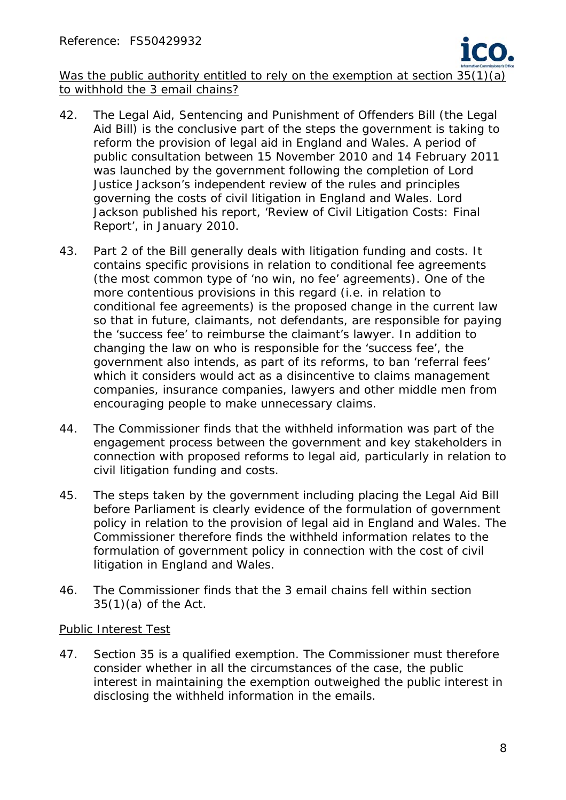

Was the public authority entitled to rely on the exemption at section 35(1)(a) to withhold the 3 email chains?

- 42. The Legal Aid, Sentencing and Punishment of Offenders Bill (the Legal Aid Bill) is the conclusive part of the steps the government is taking to reform the provision of legal aid in England and Wales. A period of public consultation between 15 November 2010 and 14 February 2011 was launched by the government following the completion of Lord Justice Jackson's independent review of the rules and principles governing the costs of civil litigation in England and Wales. Lord Jackson published his report, '*Review of Civil Litigation Costs: Final Report'*, in January 2010.
- 43. Part 2 of the Bill generally deals with litigation funding and costs. It contains specific provisions in relation to conditional fee agreements (the most common type of 'no win, no fee' agreements). One of the more contentious provisions in this regard (i.e. in relation to conditional fee agreements) is the proposed change in the current law so that in future, claimants, not defendants, are responsible for paying the 'success fee' to reimburse the claimant's lawyer. In addition to changing the law on who is responsible for the 'success fee', the government also intends, as part of its reforms, to ban 'referral fees' which it considers would act as a disincentive to claims management companies, insurance companies, lawyers and other middle men from encouraging people to make unnecessary claims.
- 44. The Commissioner finds that the withheld information was part of the engagement process between the government and key stakeholders in connection with proposed reforms to legal aid, particularly in relation to civil litigation funding and costs.
- 45. The steps taken by the government including placing the Legal Aid Bill before Parliament is clearly evidence of the formulation of government policy in relation to the provision of legal aid in England and Wales. The Commissioner therefore finds the withheld information relates to the formulation of government policy in connection with the cost of civil litigation in England and Wales.
- 46. The Commissioner finds that the 3 email chains fell within section  $35(1)(a)$  of the Act.

## Public Interest Test

47. Section 35 is a qualified exemption. The Commissioner must therefore consider whether in all the circumstances of the case, the public interest in maintaining the exemption outweighed the public interest in disclosing the withheld information in the emails.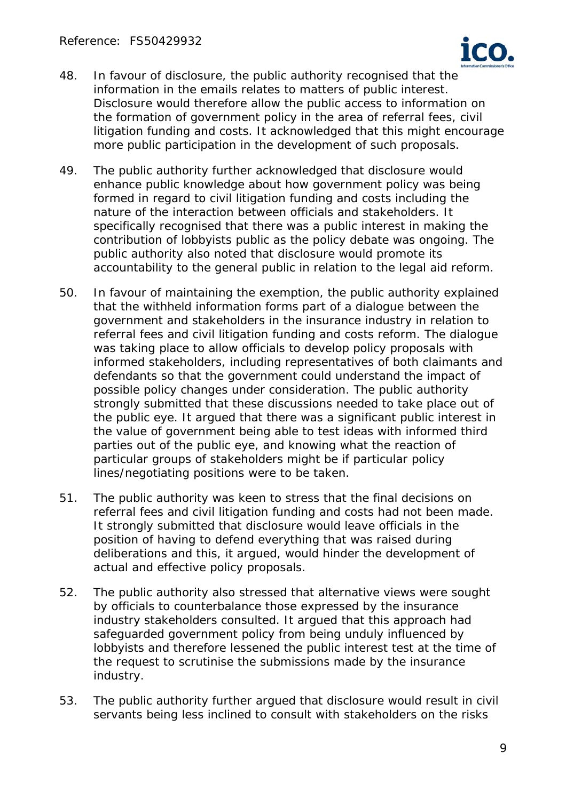

- 48. In favour of disclosure, the public authority recognised that the information in the emails relates to matters of public interest. Disclosure would therefore allow the public access to information on the formation of government policy in the area of referral fees, civil litigation funding and costs. It acknowledged that this might encourage more public participation in the development of such proposals.
- 49. The public authority further acknowledged that disclosure would enhance public knowledge about how government policy was being formed in regard to civil litigation funding and costs including the nature of the interaction between officials and stakeholders. It specifically recognised that there was a public interest in making the contribution of lobbyists public as the policy debate was ongoing. The public authority also noted that disclosure would promote its accountability to the general public in relation to the legal aid reform.
- 50. In favour of maintaining the exemption, the public authority explained that the withheld information forms part of a dialogue between the government and stakeholders in the insurance industry in relation to referral fees and civil litigation funding and costs reform. The dialogue was taking place to allow officials to develop policy proposals with informed stakeholders, including representatives of both claimants and defendants so that the government could understand the impact of possible policy changes under consideration. The public authority strongly submitted that these discussions needed to take place out of the public eye. It argued that there was a significant public interest in the value of government being able to test ideas with informed third parties out of the public eye, and knowing what the reaction of particular groups of stakeholders might be if particular policy lines/negotiating positions were to be taken.
- 51. The public authority was keen to stress that the final decisions on referral fees and civil litigation funding and costs had not been made. It strongly submitted that disclosure would leave officials in the position of having to defend everything that was raised during deliberations and this, it argued, would hinder the development of actual and effective policy proposals.
- 52. The public authority also stressed that alternative views were sought by officials to counterbalance those expressed by the insurance industry stakeholders consulted. It argued that this approach had safeguarded government policy from being unduly influenced by lobbyists and therefore lessened the public interest test at the time of the request to scrutinise the submissions made by the insurance industry.
- 53. The public authority further argued that disclosure would result in civil servants being less inclined to consult with stakeholders on the risks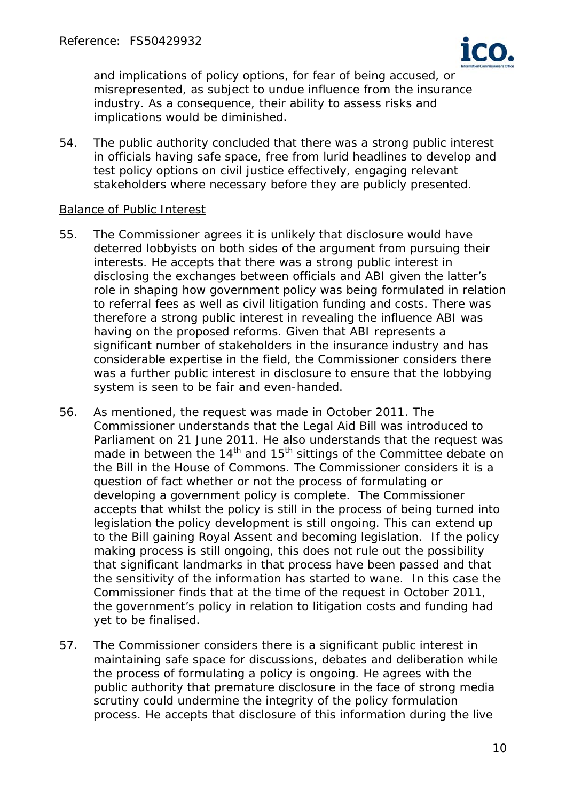

and implications of policy options, for fear of being accused, or misrepresented, as subject to undue influence from the insurance industry. As a consequence, their ability to assess risks and implications would be diminished.

54. The public authority concluded that there was a strong public interest in officials having safe space, free from lurid headlines to develop and test policy options on civil justice effectively, engaging relevant stakeholders where necessary before they are publicly presented.

#### Balance of Public Interest

- 55. The Commissioner agrees it is unlikely that disclosure would have deterred lobbyists on both sides of the argument from pursuing their interests. He accepts that there was a strong public interest in disclosing the exchanges between officials and ABI given the latter's role in shaping how government policy was being formulated in relation to referral fees as well as civil litigation funding and costs. There was therefore a strong public interest in revealing the influence ABI was having on the proposed reforms. Given that ABI represents a significant number of stakeholders in the insurance industry and has considerable expertise in the field, the Commissioner considers there was a further public interest in disclosure to ensure that the lobbying system is seen to be fair and even-handed.
- 56. As mentioned, the request was made in October 2011. The Commissioner understands that the Legal Aid Bill was introduced to Parliament on 21 June 2011. He also understands that the request was made in between the  $14<sup>th</sup>$  and  $15<sup>th</sup>$  sittings of the Committee debate on the Bill in the House of Commons. The Commissioner considers it is a question of fact whether or not the process of formulating or developing a government policy is complete. The Commissioner accepts that whilst the policy is still in the process of being turned into legislation the policy development is still ongoing. This can extend up to the Bill gaining Royal Assent and becoming legislation. If the policy making process is still ongoing, this does not rule out the possibility that significant landmarks in that process have been passed and that the sensitivity of the information has started to wane. In this case the Commissioner finds that at the time of the request in October 2011, the government's policy in relation to litigation costs and funding had yet to be finalised.
- 57. The Commissioner considers there is a significant public interest in maintaining safe space for discussions, debates and deliberation while the process of formulating a policy is ongoing. He agrees with the public authority that premature disclosure in the face of strong media scrutiny could undermine the integrity of the policy formulation process. He accepts that disclosure of this information during the live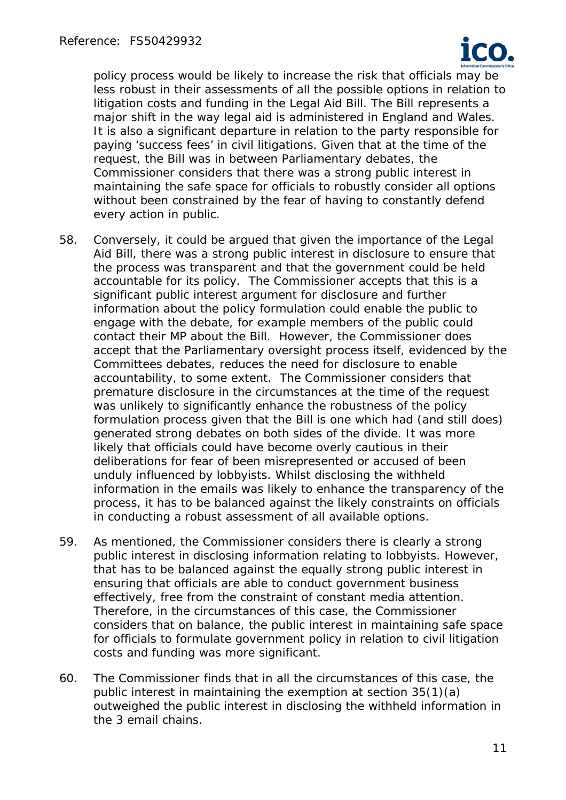

policy process would be likely to increase the risk that officials may be less robust in their assessments of all the possible options in relation to litigation costs and funding in the Legal Aid Bill. The Bill represents a major shift in the way legal aid is administered in England and Wales. It is also a significant departure in relation to the party responsible for paying 'success fees' in civil litigations. Given that at the time of the request, the Bill was in between Parliamentary debates, the Commissioner considers that there was a strong public interest in maintaining the safe space for officials to robustly consider all options without been constrained by the fear of having to constantly defend every action in public.

- 58. Conversely, it could be argued that given the importance of the Legal Aid Bill, there was a strong public interest in disclosure to ensure that the process was transparent and that the government could be held accountable for its policy. The Commissioner accepts that this is a significant public interest argument for disclosure and further information about the policy formulation could enable the public to engage with the debate, for example members of the public could contact their MP about the Bill. However, the Commissioner does accept that the Parliamentary oversight process itself, evidenced by the Committees debates, reduces the need for disclosure to enable accountability, to some extent. The Commissioner considers that premature disclosure in the circumstances at the time of the request was unlikely to significantly enhance the robustness of the policy formulation process given that the Bill is one which had (and still does) generated strong debates on both sides of the divide. It was more likely that officials could have become overly cautious in their deliberations for fear of been misrepresented or accused of been unduly influenced by lobbyists. Whilst disclosing the withheld information in the emails was likely to enhance the transparency of the process, it has to be balanced against the likely constraints on officials in conducting a robust assessment of all available options.
- 59. As mentioned, the Commissioner considers there is clearly a strong public interest in disclosing information relating to lobbyists. However, that has to be balanced against the equally strong public interest in ensuring that officials are able to conduct government business effectively, free from the constraint of constant media attention. Therefore, in the circumstances of this case, the Commissioner considers that on balance, the public interest in maintaining safe space for officials to formulate government policy in relation to civil litigation costs and funding was more significant.
- 60. The Commissioner finds that in all the circumstances of this case, the public interest in maintaining the exemption at section 35(1)(a) outweighed the public interest in disclosing the withheld information in the 3 email chains.